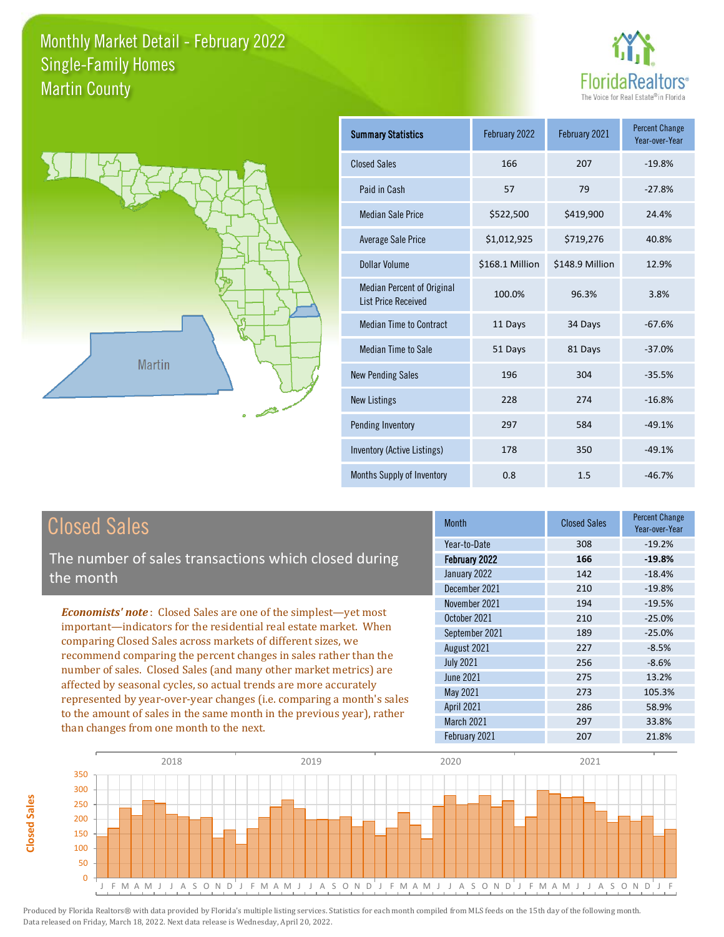



| <b>Summary Statistics</b>                                       | February 2022   | February 2021   | <b>Percent Change</b><br>Year-over-Year |
|-----------------------------------------------------------------|-----------------|-----------------|-----------------------------------------|
| <b>Closed Sales</b>                                             | 166             | 207             | $-19.8%$                                |
| Paid in Cash                                                    | 57              | 79              | $-27.8%$                                |
| <b>Median Sale Price</b>                                        | \$522,500       | \$419,900       | 24.4%                                   |
| <b>Average Sale Price</b>                                       | \$1,012,925     | \$719,276       | 40.8%                                   |
| <b>Dollar Volume</b>                                            | \$168.1 Million | \$148.9 Million | 12.9%                                   |
| <b>Median Percent of Original</b><br><b>List Price Received</b> | 100.0%          | 96.3%           | 3.8%                                    |
| <b>Median Time to Contract</b>                                  | 11 Days         | 34 Days         | $-67.6%$                                |
| <b>Median Time to Sale</b>                                      | 51 Days         | 81 Days         | $-37.0%$                                |
| <b>New Pending Sales</b>                                        | 196             | 304             | $-35.5%$                                |
| <b>New Listings</b>                                             | 228             | 274             | $-16.8%$                                |
| Pending Inventory                                               | 297             | 584             | $-49.1%$                                |
| <b>Inventory (Active Listings)</b>                              | 178             | 350             | $-49.1%$                                |
| <b>Months Supply of Inventory</b>                               | 0.8             | 1.5             | $-46.7%$                                |

#### Closed Sales

**Closed Sales**

**Closed Sales** 

The number of sales transactions which closed during the month

*Economists' note* : Closed Sales are one of the simplest—yet most important—indicators for the residential real estate market. When comparing Closed Sales across markets of different sizes, we recommend comparing the percent changes in sales rather than the number of sales. Closed Sales (and many other market metrics) are affected by seasonal cycles, so actual trends are more accurately represented by year-over-year changes (i.e. comparing a month's sales to the amount of sales in the same month in the previous year), rather than changes from one month to the next.

| Year-to-Date<br>$-19.2%$<br>308<br>February 2022<br>$-19.8%$<br>166<br>January 2022<br>142<br>$-18.4%$<br>December 2021<br>$-19.8%$<br>210<br>November 2021<br>194<br>$-19.5%$<br>October 2021<br>$-25.0%$<br>210<br>September 2021<br>$-25.0%$<br>189<br>August 2021<br>227<br>$-8.5%$<br><b>July 2021</b><br>256<br>$-8.6%$<br>June 2021<br>275<br>13.2%<br>May 2021<br>273<br>105.3%<br><b>April 2021</b><br>58.9%<br>286<br>March 2021<br>297<br>33.8%<br>February 2021<br>207<br>21.8% | <b>Month</b> | <b>Closed Sales</b> | <b>Percent Change</b><br>Year-over-Year |
|---------------------------------------------------------------------------------------------------------------------------------------------------------------------------------------------------------------------------------------------------------------------------------------------------------------------------------------------------------------------------------------------------------------------------------------------------------------------------------------------|--------------|---------------------|-----------------------------------------|
|                                                                                                                                                                                                                                                                                                                                                                                                                                                                                             |              |                     |                                         |
|                                                                                                                                                                                                                                                                                                                                                                                                                                                                                             |              |                     |                                         |
|                                                                                                                                                                                                                                                                                                                                                                                                                                                                                             |              |                     |                                         |
|                                                                                                                                                                                                                                                                                                                                                                                                                                                                                             |              |                     |                                         |
|                                                                                                                                                                                                                                                                                                                                                                                                                                                                                             |              |                     |                                         |
|                                                                                                                                                                                                                                                                                                                                                                                                                                                                                             |              |                     |                                         |
|                                                                                                                                                                                                                                                                                                                                                                                                                                                                                             |              |                     |                                         |
|                                                                                                                                                                                                                                                                                                                                                                                                                                                                                             |              |                     |                                         |
|                                                                                                                                                                                                                                                                                                                                                                                                                                                                                             |              |                     |                                         |
|                                                                                                                                                                                                                                                                                                                                                                                                                                                                                             |              |                     |                                         |
|                                                                                                                                                                                                                                                                                                                                                                                                                                                                                             |              |                     |                                         |
|                                                                                                                                                                                                                                                                                                                                                                                                                                                                                             |              |                     |                                         |
|                                                                                                                                                                                                                                                                                                                                                                                                                                                                                             |              |                     |                                         |
|                                                                                                                                                                                                                                                                                                                                                                                                                                                                                             |              |                     |                                         |

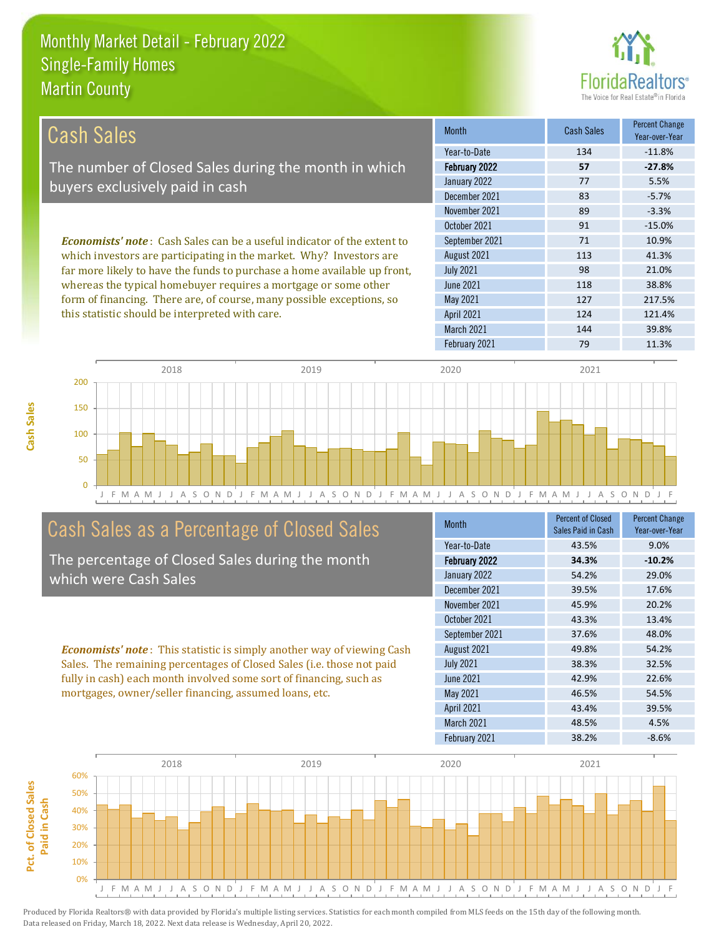

| <b>Cash Sales</b>                                                              | <b>Month</b>         | <b>Cash Sales</b> | <b>Percent Change</b><br>Year-over-Year |
|--------------------------------------------------------------------------------|----------------------|-------------------|-----------------------------------------|
|                                                                                | Year-to-Date         | 134               | $-11.8%$                                |
| The number of Closed Sales during the month in which                           | <b>February 2022</b> | 57                | $-27.8%$                                |
| buyers exclusively paid in cash                                                | January 2022         | 77                | 5.5%                                    |
|                                                                                | December 2021        | 83                | $-5.7%$                                 |
|                                                                                | November 2021        | 89                | $-3.3%$                                 |
|                                                                                | October 2021         | 91                | $-15.0%$                                |
| <b>Economists' note:</b> Cash Sales can be a useful indicator of the extent to | September 2021       | 71                | 10.9%                                   |
| which investors are participating in the market. Why? Investors are            | August 2021          | 113               | 41.3%                                   |
| far more likely to have the funds to purchase a home available up front,       | <b>July 2021</b>     | 98                | 21.0%                                   |
| whereas the typical homebuyer requires a mortgage or some other                | June 2021            | 118               | 38.8%                                   |
| form of financing. There are, of course, many possible exceptions, so          | May 2021             | 127               | 217.5%                                  |
| this statistic should be interpreted with care.                                | <b>April 2021</b>    | 124               | 121.4%                                  |
|                                                                                | March 2021           | 144               | 39.8%                                   |



#### Cash Sales as a Percentage of Closed Sales

The percentage of Closed Sales during the month which were Cash Sales

*Economists' note* : This statistic is simply another way of viewing Cash Sales. The remaining percentages of Closed Sales (i.e. those not paid fully in cash) each month involved some sort of financing, such as mortgages, owner/seller financing, assumed loans, etc.

| <b>Month</b>      | <b>Percent of Closed</b><br>Sales Paid in Cash | <b>Percent Change</b><br>Year-over-Year |
|-------------------|------------------------------------------------|-----------------------------------------|
| Year-to-Date      | 43.5%                                          | 9.0%                                    |
| February 2022     | 34.3%                                          | $-10.2%$                                |
| January 2022      | 54.2%                                          | 29.0%                                   |
| December 2021     | 39.5%                                          | 17.6%                                   |
| November 2021     | 45.9%                                          | 20.2%                                   |
| October 2021      | 43.3%                                          | 13.4%                                   |
| September 2021    | 37.6%                                          | 48.0%                                   |
| August 2021       | 49.8%                                          | 54.2%                                   |
| <b>July 2021</b>  | 38.3%                                          | 32.5%                                   |
| <b>June 2021</b>  | 42.9%                                          | 22.6%                                   |
| <b>May 2021</b>   | 46.5%                                          | 54.5%                                   |
| <b>April 2021</b> | 43.4%                                          | 39.5%                                   |
| March 2021        | 48.5%                                          | 4.5%                                    |
| February 2021     | 38.2%                                          | $-8.6%$                                 |

February 2021 79 79 11.3%

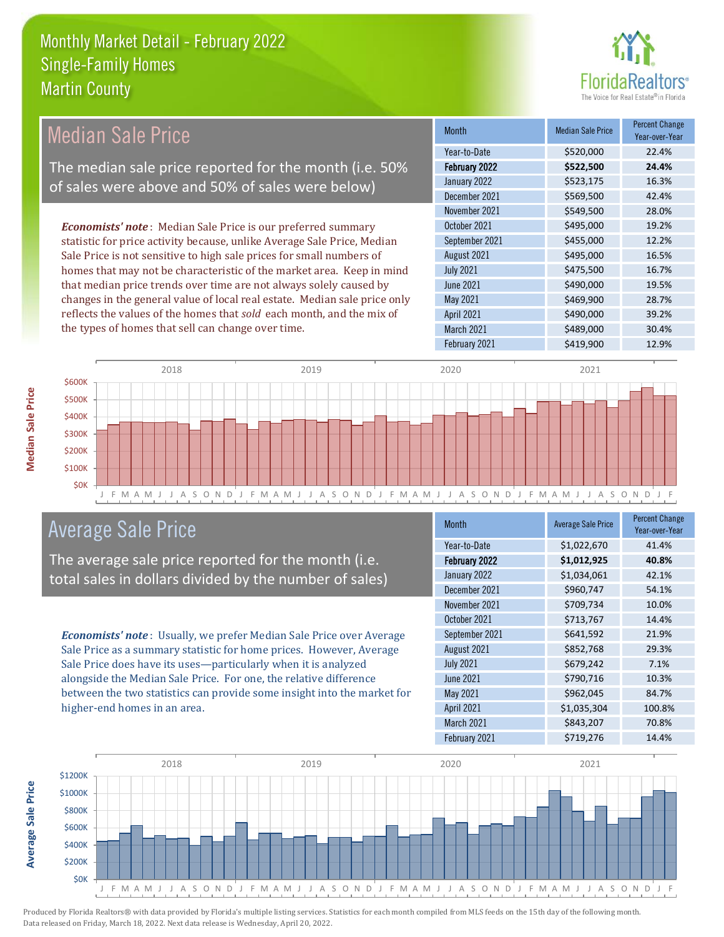

| <b>Median Sale Price</b>                                                  | <b>Month</b>         | <b>Median Sale Price</b> | <b>Percent Change</b><br>Year-over-Year |
|---------------------------------------------------------------------------|----------------------|--------------------------|-----------------------------------------|
|                                                                           | Year-to-Date         | \$520,000                | 22.4%                                   |
| The median sale price reported for the month (i.e. 50%                    | <b>February 2022</b> | \$522,500                | 24.4%                                   |
| of sales were above and 50% of sales were below)                          | January 2022         | \$523,175                | 16.3%                                   |
|                                                                           | December 2021        | \$569,500                | 42.4%                                   |
|                                                                           | November 2021        | \$549,500                | 28.0%                                   |
| <b>Economists' note:</b> Median Sale Price is our preferred summary       | October 2021         | \$495,000                | 19.2%                                   |
| statistic for price activity because, unlike Average Sale Price, Median   | September 2021       | \$455,000                | 12.2%                                   |
| Sale Price is not sensitive to high sale prices for small numbers of      | August 2021          | \$495,000                | 16.5%                                   |
| homes that may not be characteristic of the market area. Keep in mind     | <b>July 2021</b>     | \$475,500                | 16.7%                                   |
| that median price trends over time are not always solely caused by        | <b>June 2021</b>     | \$490,000                | 19.5%                                   |
| changes in the general value of local real estate. Median sale price only | May 2021             | \$469,900                | 28.7%                                   |
| reflects the values of the homes that sold each month, and the mix of     | <b>April 2021</b>    | \$490,000                | 39.2%                                   |
| the types of homes that sell can change over time.                        | March 2021           | \$489,000                | 30.4%                                   |
|                                                                           | February 2021        | \$419,900                | 12.9%                                   |



#### Average Sale Price

The average sale price reported for the month (i.e. total sales in dollars divided by the number of sales)

*Economists' note* : Usually, we prefer Median Sale Price over Average Sale Price as a summary statistic for home prices. However, Average Sale Price does have its uses—particularly when it is analyzed alongside the Median Sale Price. For one, the relative difference between the two statistics can provide some insight into the market for higher-end homes in an area.

| <b>Month</b>      | <b>Average Sale Price</b> | <b>Percent Change</b><br>Year-over-Year |
|-------------------|---------------------------|-----------------------------------------|
| Year-to-Date      | \$1,022,670               | 41.4%                                   |
| February 2022     | \$1,012,925               | 40.8%                                   |
| January 2022      | \$1,034,061               | 42.1%                                   |
| December 2021     | \$960,747                 | 54.1%                                   |
| November 2021     | \$709,734                 | 10.0%                                   |
| October 2021      | \$713,767                 | 14.4%                                   |
| September 2021    | \$641,592                 | 21.9%                                   |
| August 2021       | \$852,768                 | 29.3%                                   |
| <b>July 2021</b>  | \$679,242                 | 7.1%                                    |
| <b>June 2021</b>  | \$790,716                 | 10.3%                                   |
| May 2021          | \$962,045                 | 84.7%                                   |
| <b>April 2021</b> | \$1,035,304               | 100.8%                                  |
| March 2021        | \$843,207                 | 70.8%                                   |
| February 2021     | \$719,276                 | 14.4%                                   |



**Average Sale Price Average Sale Price**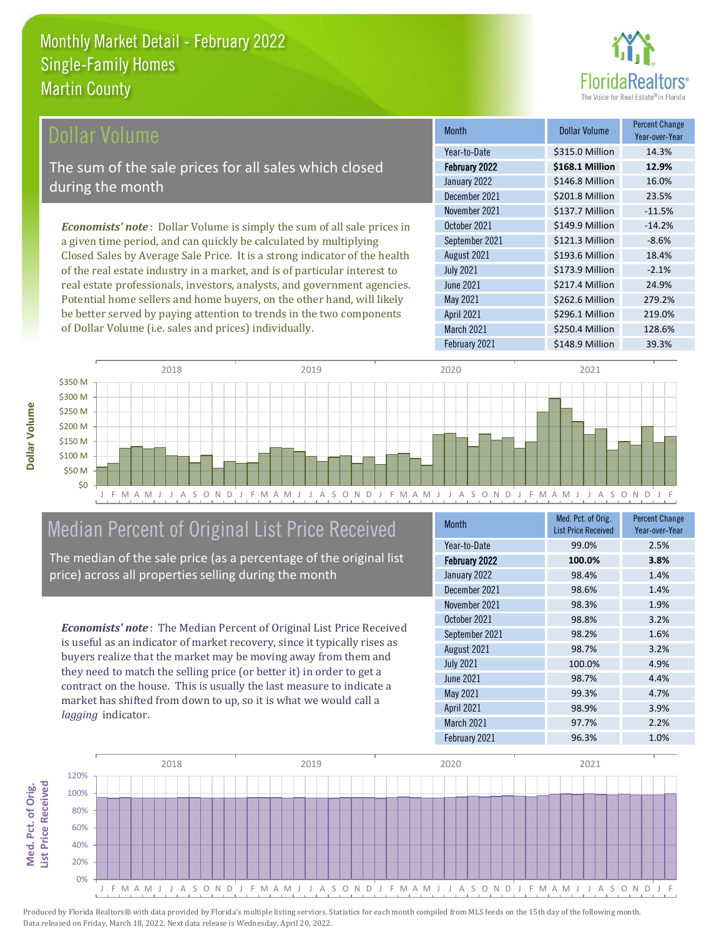of Dollar Volume (i.e. sales and prices) individually.



| Dollar Volume                                                                   | <b>Month</b>      | <b>Dollar Volume</b> | <b>Percent Change</b><br>Year-over-Year |
|---------------------------------------------------------------------------------|-------------------|----------------------|-----------------------------------------|
|                                                                                 | Year-to-Date      | \$315.0 Million      | 14.3%                                   |
| The sum of the sale prices for all sales which closed                           | February 2022     | \$168.1 Million      | 12.9%                                   |
| during the month                                                                | January 2022      | \$146.8 Million      | 16.0%                                   |
|                                                                                 | December 2021     | \$201.8 Million      | 23.5%                                   |
|                                                                                 | November 2021     | \$137.7 Million      | $-11.5%$                                |
| <b>Economists' note</b> : Dollar Volume is simply the sum of all sale prices in | October 2021      | \$149.9 Million      | $-14.2%$                                |
| a given time period, and can quickly be calculated by multiplying               | September 2021    | \$121.3 Million      | $-8.6%$                                 |
| Closed Sales by Average Sale Price. It is a strong indicator of the health      | August 2021       | \$193.6 Million      | 18.4%                                   |
| of the real estate industry in a market, and is of particular interest to       | <b>July 2021</b>  | \$173.9 Million      | $-2.1%$                                 |
| real estate professionals, investors, analysts, and government agencies.        | <b>June 2021</b>  | \$217.4 Million      | 24.9%                                   |
| Potential home sellers and home buyers, on the other hand, will likely          | May 2021          | \$262.6 Million      | 279.2%                                  |
| be better served by paying attention to trends in the two components            | <b>April 2021</b> | \$296.1 Million      | 219.0%                                  |

J F M A M J J A S O N D J F M A M J J A S O N D J F M A M J J A S O N D J F M A M J J A S O N D J F 2018 2019 2020 2021 \$0 \$50 M \$100 M \$150 M \$200 M \$250 M \$300 M \$350 M

#### Median Percent of Original List Price Received

The median of the sale price (as a percentage of the original list price) across all properties selling during the month

*Economists' note* : The Median Percent of Original List Price Received is useful as an indicator of market recovery, since it typically rises as buyers realize that the market may be moving away from them and they need to match the selling price (or better it) in order to get a contract on the house. This is usually the last measure to indicate a market has shifted from down to up, so it is what we would call a *lagging* indicator.

| <b>Month</b>      | Med. Pct. of Orig.<br><b>List Price Received</b> | <b>Percent Change</b><br>Year-over-Year |
|-------------------|--------------------------------------------------|-----------------------------------------|
| Year-to-Date      | 99.0%                                            | 2.5%                                    |
| February 2022     | 100.0%                                           | 3.8%                                    |
| January 2022      | 98.4%                                            | 1.4%                                    |
| December 2021     | 98.6%                                            | 1.4%                                    |
| November 2021     | 98.3%                                            | 1.9%                                    |
| October 2021      | 98.8%                                            | 3.2%                                    |
| September 2021    | 98.2%                                            | 1.6%                                    |
| August 2021       | 98.7%                                            | 3.2%                                    |
| <b>July 2021</b>  | 100.0%                                           | 4.9%                                    |
| <b>June 2021</b>  | 98.7%                                            | 4.4%                                    |
| <b>May 2021</b>   | 99.3%                                            | 4.7%                                    |
| <b>April 2021</b> | 98.9%                                            | 3.9%                                    |
| March 2021        | 97.7%                                            | 2.2%                                    |
| February 2021     | 96.3%                                            | 1.0%                                    |

March 2021 \$250.4 Million 128.6%

February 2021 \$148.9 Million 39.3%



**Med. Pct. of Orig.** 

Med. Pct. of Orig.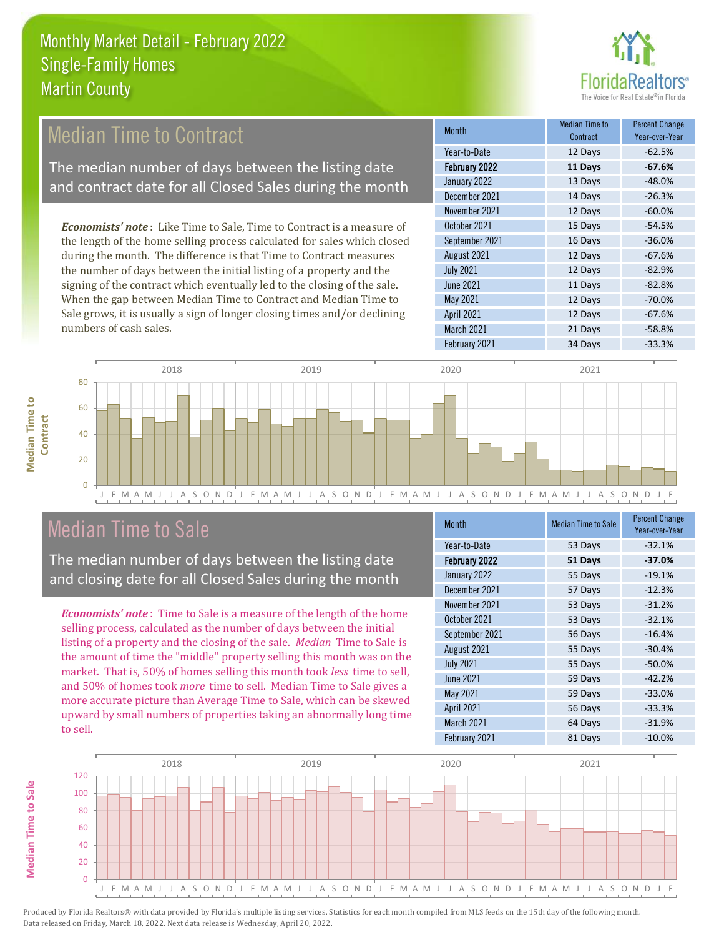

#### *Economists' note* : Like Time to Sale, Time to Contract is a measure of the length of the home selling process calculated for sales which closed October 2021 **15 Days** -54.5% September 2021 16 Days -36.0% Month Month Median Time to Contract Percent Change Year-over-Year February 2022 **11 Days -67.6%** Year-to-Date 12 Days -62.5% January 2022 13 Days -48.0% December 2021 **14 Days** -26.3% November 2021 12 Days -60.0% Median Time to Contract The median number of days between the listing date and contract date for all Closed Sales during the month

during the month. The difference is that Time to Contract measures the number of days between the initial listing of a property and the signing of the contract which eventually led to the closing of the sale. When the gap between Median Time to Contract and Median Time to Sale grows, it is usually a sign of longer closing times and/or declining numbers of cash sales.

|                   | Contract | Year-over-Year |
|-------------------|----------|----------------|
| Year-to-Date      | 12 Days  | $-62.5%$       |
| February 2022     | 11 Days  | $-67.6%$       |
| January 2022      | 13 Days  | $-48.0%$       |
| December 2021     | 14 Days  | $-26.3%$       |
| November 2021     | 12 Days  | $-60.0%$       |
| October 2021      | 15 Days  | $-54.5%$       |
| September 2021    | 16 Days  | $-36.0%$       |
| August 2021       | 12 Days  | $-67.6%$       |
| <b>July 2021</b>  | 12 Days  | $-82.9%$       |
| June 2021         | 11 Days  | $-82.8%$       |
| May 2021          | 12 Days  | $-70.0%$       |
| <b>April 2021</b> | 12 Days  | $-67.6%$       |
| March 2021        | 21 Days  | $-58.8%$       |
| February 2021     | 34 Days  | $-33.3%$       |



#### Median Time to Sale

The median number of days between the listing date and closing date for all Closed Sales during the month

*Economists' note* : Time to Sale is a measure of the length of the home selling process, calculated as the number of days between the initial listing of a property and the closing of the sale. *Median* Time to Sale is the amount of time the "middle" property selling this month was on the market. That is, 50% of homes selling this month took *less* time to sell, and 50% of homes took *more* time to sell. Median Time to Sale gives a more accurate picture than Average Time to Sale, which can be skewed upward by small numbers of properties taking an abnormally long time to sell.

| <b>Month</b>      | <b>Median Time to Sale</b> | <b>Percent Change</b><br>Year-over-Year |
|-------------------|----------------------------|-----------------------------------------|
| Year-to-Date      | 53 Days                    | $-32.1%$                                |
| February 2022     | 51 Days                    | $-37.0%$                                |
| January 2022      | 55 Days                    | $-19.1%$                                |
| December 2021     | 57 Days                    | $-12.3%$                                |
| November 2021     | 53 Days                    | $-31.2%$                                |
| October 2021      | 53 Days                    | $-32.1%$                                |
| September 2021    | 56 Days                    | $-16.4%$                                |
| August 2021       | 55 Days                    | $-30.4%$                                |
| <b>July 2021</b>  | 55 Days                    | $-50.0%$                                |
| <b>June 2021</b>  | 59 Days                    | $-42.2%$                                |
| <b>May 2021</b>   | 59 Days                    | $-33.0%$                                |
| <b>April 2021</b> | 56 Days                    | $-33.3%$                                |
| March 2021        | 64 Days                    | $-31.9%$                                |
| February 2021     | 81 Days                    | $-10.0%$                                |



**Median Time to** 

**Median Time to**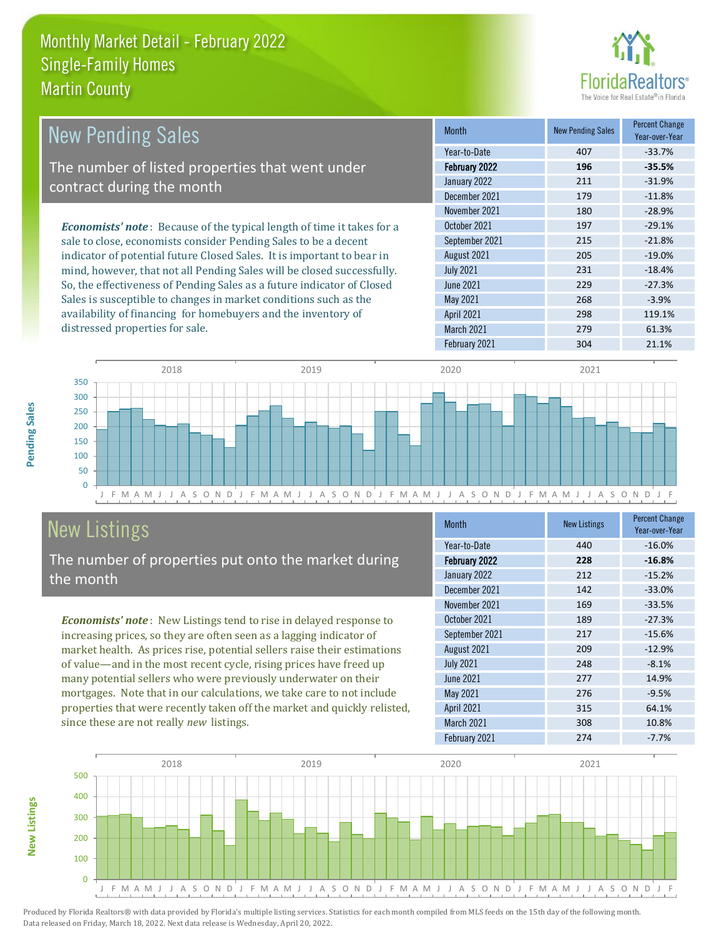

| <b>New Pending Sales</b>                                                      | <b>Month</b>      | <b>New Pending Sales</b> | <b>Percent Change</b><br>Year-over-Year |
|-------------------------------------------------------------------------------|-------------------|--------------------------|-----------------------------------------|
|                                                                               | Year-to-Date      | 407                      | $-33.7%$                                |
| The number of listed properties that went under                               | February 2022     | 196                      | $-35.5%$                                |
| contract during the month                                                     | January 2022      | 211                      | $-31.9%$                                |
|                                                                               | December 2021     | 179                      | $-11.8%$                                |
|                                                                               | November 2021     | 180                      | $-28.9%$                                |
| <b>Economists' note:</b> Because of the typical length of time it takes for a | October 2021      | 197                      | $-29.1%$                                |
| sale to close, economists consider Pending Sales to be a decent               | September 2021    | 215                      | $-21.8%$                                |
| indicator of potential future Closed Sales. It is important to bear in        | August 2021       | 205                      | $-19.0%$                                |
| mind, however, that not all Pending Sales will be closed successfully.        | <b>July 2021</b>  | 231                      | $-18.4%$                                |
| So, the effectiveness of Pending Sales as a future indicator of Closed        | <b>June 2021</b>  | 229                      | $-27.3%$                                |
| Sales is susceptible to changes in market conditions such as the              | May 2021          | 268                      | $-3.9%$                                 |
| availability of financing for homebuyers and the inventory of                 | <b>April 2021</b> | 298                      | 119.1%                                  |
| distressed properties for sale.                                               | March 2021        | 279                      | 61.3%                                   |



#### New Listings

The number of properties put onto the market during the month

*Economists' note* : New Listings tend to rise in delayed response to increasing prices, so they are often seen as a lagging indicator of market health. As prices rise, potential sellers raise their estimations of value—and in the most recent cycle, rising prices have freed up many potential sellers who were previously underwater on their mortgages. Note that in our calculations, we take care to not include properties that were recently taken off the market and quickly relisted, since these are not really *new* listings.

| <b>Month</b>      | <b>New Listings</b> | <b>Percent Change</b><br>Year-over-Year |
|-------------------|---------------------|-----------------------------------------|
| Year-to-Date      | 440                 | $-16.0%$                                |
| February 2022     | 228                 | $-16.8%$                                |
| January 2022      | 212                 | $-15.2%$                                |
| December 2021     | 142                 | $-33.0%$                                |
| November 2021     | 169                 | $-33.5%$                                |
| October 2021      | 189                 | $-27.3%$                                |
| September 2021    | 217                 | $-15.6%$                                |
| August 2021       | 209                 | $-12.9%$                                |
| <b>July 2021</b>  | 248                 | $-8.1%$                                 |
| <b>June 2021</b>  | 277                 | 14.9%                                   |
| May 2021          | 276                 | $-9.5%$                                 |
| <b>April 2021</b> | 315                 | 64.1%                                   |
| March 2021        | 308                 | 10.8%                                   |
| February 2021     | 274                 | $-7.7%$                                 |

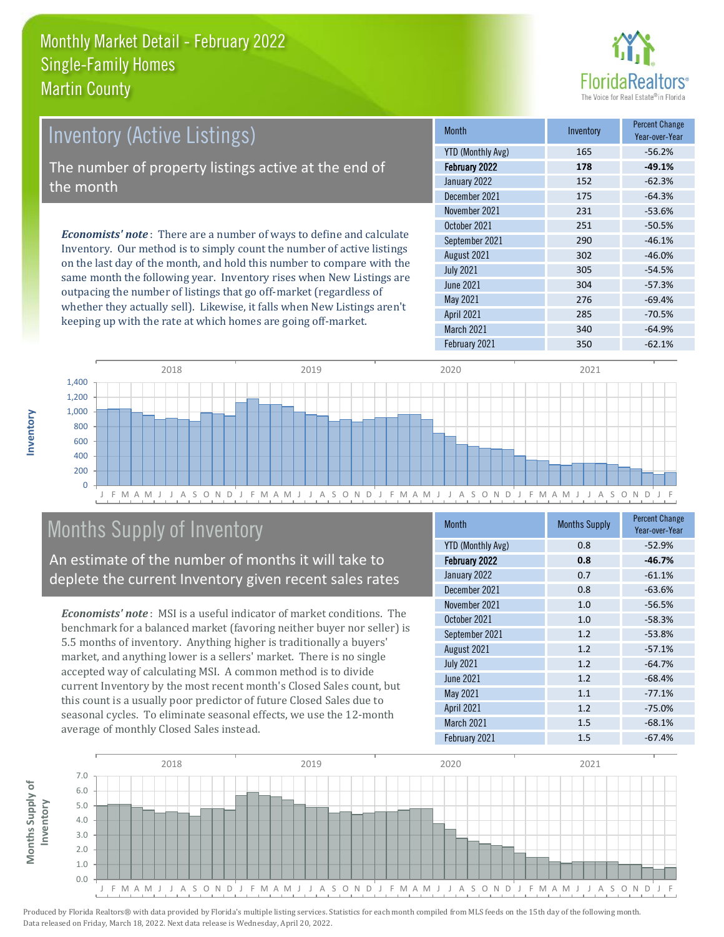

| Inventory (Active Listings)                                                                                                                                                                                                                                                                                                                                                                                                                                                                            | <b>Month</b>             | Inventory | <b>Percent Change</b><br>Year-over-Year |
|--------------------------------------------------------------------------------------------------------------------------------------------------------------------------------------------------------------------------------------------------------------------------------------------------------------------------------------------------------------------------------------------------------------------------------------------------------------------------------------------------------|--------------------------|-----------|-----------------------------------------|
|                                                                                                                                                                                                                                                                                                                                                                                                                                                                                                        | <b>YTD (Monthly Avg)</b> | 165       | $-56.2%$                                |
| The number of property listings active at the end of                                                                                                                                                                                                                                                                                                                                                                                                                                                   | February 2022            | 178       | $-49.1%$                                |
| the month                                                                                                                                                                                                                                                                                                                                                                                                                                                                                              | January 2022             | 152       | $-62.3%$                                |
|                                                                                                                                                                                                                                                                                                                                                                                                                                                                                                        | December 2021            | 175       | $-64.3%$                                |
|                                                                                                                                                                                                                                                                                                                                                                                                                                                                                                        | November 2021            | 231       | $-53.6%$                                |
| <b>Economists' note</b> : There are a number of ways to define and calculate                                                                                                                                                                                                                                                                                                                                                                                                                           | October 2021             | 251       | $-50.5%$                                |
|                                                                                                                                                                                                                                                                                                                                                                                                                                                                                                        | September 2021           | 290       | $-46.1%$                                |
| Inventory. Our method is to simply count the number of active listings<br>$\mathbf{y} = \mathbf{y} = \mathbf{y} = \mathbf{y} = \mathbf{y} = \mathbf{y} = \mathbf{y} = \mathbf{y} = \mathbf{y} = \mathbf{y} = \mathbf{y} = \mathbf{y} = \mathbf{y} = \mathbf{y} = \mathbf{y} = \mathbf{y} = \mathbf{y} = \mathbf{y} = \mathbf{y} = \mathbf{y} = \mathbf{y} = \mathbf{y} = \mathbf{y} = \mathbf{y} = \mathbf{y} = \mathbf{y} = \mathbf{y} = \mathbf{y} = \mathbf{y} = \mathbf{y} = \mathbf{y} = \mathbf$ | August 2021              | 302       | $-46.0%$                                |

on the last day of the month, and hold this number to compare with the same month the following year. Inventory rises when New Listings are outpacing the number of listings that go off-market (regardless of whether they actually sell). Likewise, it falls when New Listings aren't keeping up with the rate at which homes are going off-market.

|                          |     | Year-over-Year |
|--------------------------|-----|----------------|
| <b>YTD (Monthly Avg)</b> | 165 | $-56.2%$       |
| February 2022            | 178 | $-49.1%$       |
| January 2022             | 152 | $-62.3%$       |
| December 2021            | 175 | $-64.3%$       |
| November 2021            | 231 | $-53.6%$       |
| October 2021             | 251 | $-50.5%$       |
| September 2021           | 290 | $-46.1%$       |
| August 2021              | 302 | $-46.0%$       |
| <b>July 2021</b>         | 305 | $-54.5%$       |
| June 2021                | 304 | $-57.3%$       |
| <b>May 2021</b>          | 276 | $-69.4%$       |
| <b>April 2021</b>        | 285 | $-70.5%$       |
| March 2021               | 340 | $-64.9%$       |
| February 2021            | 350 | $-62.1%$       |



#### Months Supply of Inventory

An estimate of the number of months it will take to deplete the current Inventory given recent sales rates

*Economists' note* : MSI is a useful indicator of market conditions. The benchmark for a balanced market (favoring neither buyer nor seller) is 5.5 months of inventory. Anything higher is traditionally a buyers' market, and anything lower is a sellers' market. There is no single accepted way of calculating MSI. A common method is to divide current Inventory by the most recent month's Closed Sales count, but this count is a usually poor predictor of future Closed Sales due to seasonal cycles. To eliminate seasonal effects, we use the 12-month average of monthly Closed Sales instead.

| <b>Month</b>             | <b>Months Supply</b> | <b>Percent Change</b><br>Year-over-Year |
|--------------------------|----------------------|-----------------------------------------|
| <b>YTD (Monthly Avg)</b> | 0.8                  | $-52.9%$                                |
| February 2022            | 0.8                  | $-46.7%$                                |
| January 2022             | 0.7                  | $-61.1%$                                |
| December 2021            | 0.8                  | $-63.6%$                                |
| November 2021            | 1.0                  | $-56.5%$                                |
| October 2021             | 1.0                  | $-58.3%$                                |
| September 2021           | 1.2                  | $-53.8%$                                |
| August 2021              | 1.2                  | $-57.1%$                                |
| <b>July 2021</b>         | 1.2                  | $-64.7%$                                |
| <b>June 2021</b>         | 1.2                  | $-68.4%$                                |
| May 2021                 | 1.1                  | $-77.1%$                                |
| <b>April 2021</b>        | 1.2                  | $-75.0%$                                |
| March 2021               | 1.5                  | $-68.1%$                                |
| February 2021            | 1.5                  | $-67.4%$                                |



**Months Supply of** 

Months Supply of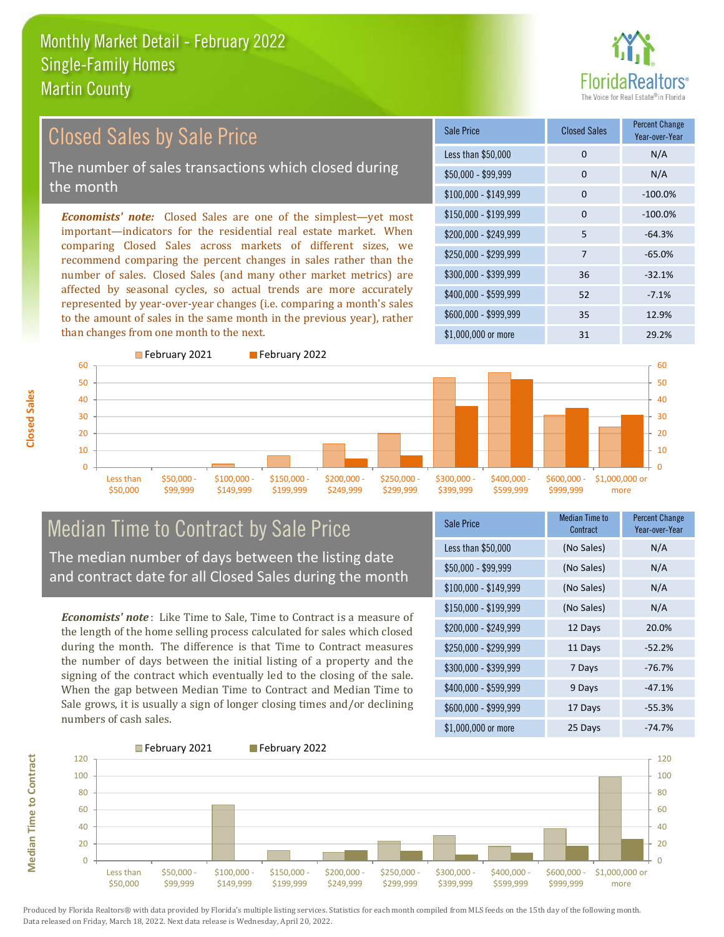# altors<sup>®</sup>

#### Closed Sales by Sale Price

The number of sales transactions which closed during the month

*Economists' note:* Closed Sales are one of the simplest—yet most important—indicators for the residential real estate market. When comparing Closed Sales across markets of different sizes, we recommend comparing the percent changes in sales rather than the number of sales. Closed Sales (and many other market metrics) are affected by seasonal cycles, so actual trends are more accurately represented by year-over-year changes (i.e. comparing a month's sales to the amount of sales in the same month in the previous year), rather than changes from one month to the next.





### Median Time to Contract by Sale Price

The median number of days between the listing date and contract date for all Closed Sales during the month

*Economists' note* : Like Time to Sale, Time to Contract is a measure of the length of the home selling process calculated for sales which closed during the month. The difference is that Time to Contract measures the number of days between the initial listing of a property and the signing of the contract which eventually led to the closing of the sale. When the gap between Median Time to Contract and Median Time to Sale grows, it is usually a sign of longer closing times and/or declining numbers of cash sales.

| Sale Price            | <b>Median Time to</b><br>Contract | <b>Percent Change</b><br>Year-over-Year |
|-----------------------|-----------------------------------|-----------------------------------------|
| Less than \$50,000    | (No Sales)                        | N/A                                     |
| \$50,000 - \$99,999   | (No Sales)                        | N/A                                     |
| $$100,000 - $149,999$ | (No Sales)                        | N/A                                     |
| \$150,000 - \$199,999 | (No Sales)                        | N/A                                     |
| \$200,000 - \$249,999 | 12 Days                           | 20.0%                                   |
| \$250,000 - \$299,999 | 11 Days                           | $-52.2%$                                |
| \$300,000 - \$399,999 | 7 Days                            | $-76.7%$                                |
| \$400,000 - \$599,999 | 9 Days                            | $-47.1%$                                |
| \$600,000 - \$999,999 | 17 Days                           | $-55.3%$                                |
| \$1,000,000 or more   | 25 Days                           | $-74.7%$                                |



Produced by Florida Realtors® with data provided by Florida's multiple listing services. Statistics for each month compiled from MLS feeds on the 15th day of the following month. Data released on Friday, March 18, 2022. Next data release is Wednesday, April 20, 2022.

**Median Time to Contract Median Time to Contract**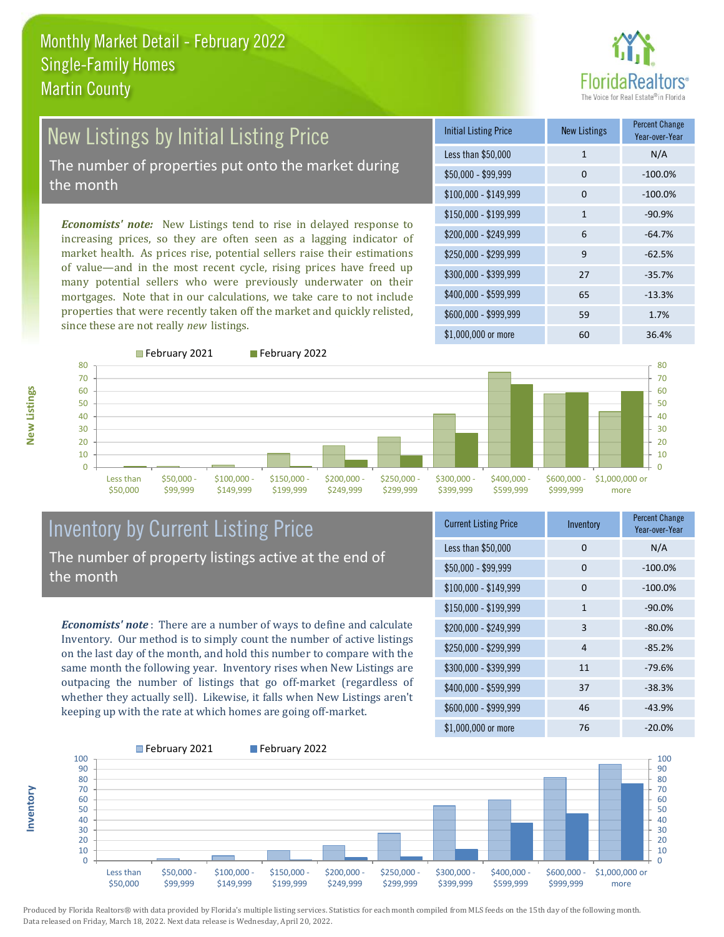## ealtors®

### New Listings by Initial Listing Price

The number of properties put onto the market during the month

*Economists' note:* New Listings tend to rise in delayed response to increasing prices, so they are often seen as a lagging indicator of market health. As prices rise, potential sellers raise their estimations of value—and in the most recent cycle, rising prices have freed up many potential sellers who were previously underwater on their mortgages. Note that in our calculations, we take care to not include properties that were recently taken off the market and quickly relisted, since these are not really *new* listings.

February 2021 February 2022



**New Listings**

**Inventory**



#### Inventory by Current Listing Price The number of property listings active at the end of the month

*Economists' note* : There are a number of ways to define and calculate Inventory. Our method is to simply count the number of active listings on the last day of the month, and hold this number to compare with the same month the following year. Inventory rises when New Listings are outpacing the number of listings that go off-market (regardless of whether they actually sell). Likewise, it falls when New Listings aren't keeping up with the rate at which homes are going off-market.

| <b>Current Listing Price</b> | Inventory | <b>Percent Change</b><br>Year-over-Year |
|------------------------------|-----------|-----------------------------------------|
| Less than \$50,000           | 0         | N/A                                     |
| \$50,000 - \$99,999          | $\Omega$  | $-100.0%$                               |
| $$100,000 - $149,999$        | $\Omega$  | $-100.0%$                               |
| $$150,000 - $199,999$        | 1         | $-90.0%$                                |
| \$200,000 - \$249,999        | 3         | $-80.0\%$                               |
| \$250,000 - \$299,999        | 4         | $-85.2%$                                |
| \$300,000 - \$399,999        | 11        | $-79.6%$                                |
| \$400,000 - \$599,999        | 37        | $-38.3%$                                |
| \$600,000 - \$999,999        | 46        | $-43.9%$                                |
| $$1,000,000$ or more         | 76        | $-20.0%$                                |